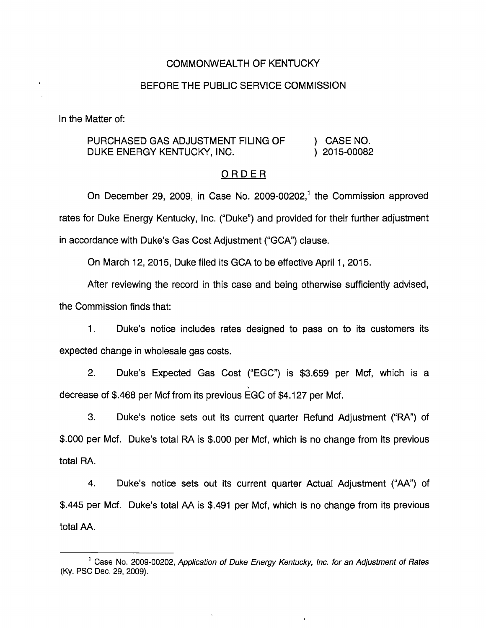#### COMMONWEALTH OF KENTUCKY

#### BEFORE THE PUBLIC SERVICE COMMISSION

In the Matter of:

## PURCHASED GAS ADJUSTMENT FILING OF ) CASE NO. DUKE ENERGY KENTUCKY, INC. (2015-00082)

#### ORDER

On December 29, 2009, in Case No. 2009-00202,<sup>1</sup> the Commission approved rates for Duke Energy Kentucky, Inc. ("Duke") and provided for their further adjustment in accordance with Duke's Gas Cost Adjustment ("GCA") clause.

On March 12, 2015, Duke filed its GCA to be effective April 1, 2015.

After reviewing the record in this case and being otherwise sufficiently advised, the Commission finds that:

1. Duke's notice includes rates designed to pass on to its customers its expected change in wholesale gas costs.

2. Duke's Expected Gas Cost ("EGC") is \$3,659 per Mcf, which is a decrease of \$.468 per Mcf from its previous EGC of \$4,127 per Mcf.

3. Duke's notice sets out its current quarter Refund Adjustment ("RA") of \$.000 per Mcf. Duke's total RA is \$.000 per Mcf, which is no change from its previous total RA.

4. Duke's notice sets out its current quarter Actual Adjustment ("AA") of \$.445 per Mcf. Duke's total AA is \$.491 per Mcf, which is no change from its previous total AA.

<sup>&</sup>lt;sup>1</sup> Case No. 2009-00202, Application of Duke Energy Kentucky, Inc. for an Adjustment of Rates (Ky. PSO Dec. 29, 2009).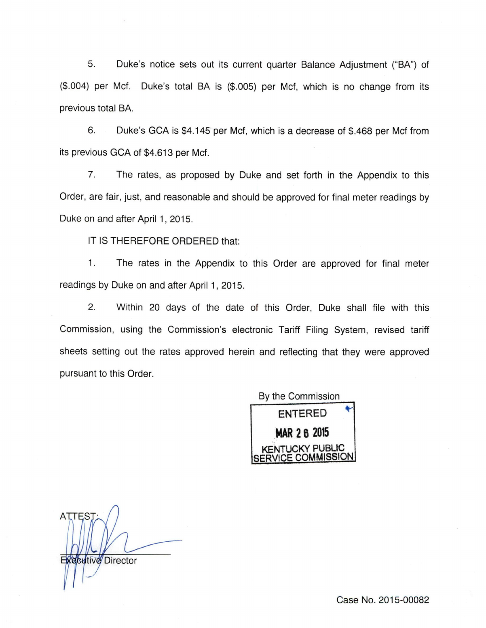5. Duke's notice sets out its current quarter Balance Adjustment ("BA") of (\$.004) per Mcf. Duke's total BA is (\$.005) per Met, which is no change from its previous total BA.

6. Duke's GCA is \$4,145 per Mcf, which is a decrease of \$.468 per Mcf from its previous GCA of \$4.613 per Mcf.

7. The rates, as proposed by Duke and set forth in the Appendix to this Order, are fair, just, and reasonable and should be approved for final meter readings by Duke on and after April 1, 2015.

IT IS THEREFORE ORDERED that:

1. The rates in the Appendix to this Order are approved for final meter readings by Duke on and after April 1, 2015.

2. Within 20 days of the date of this Order, Duke shall file with this Commission, using the Commission's electronic Tariff Filing System, revised tariff sheets setting out the rates approved herein and reflecting that they were approved pursuant to this Order.



**ATTEST Executive** Director

Case No. 2015-00082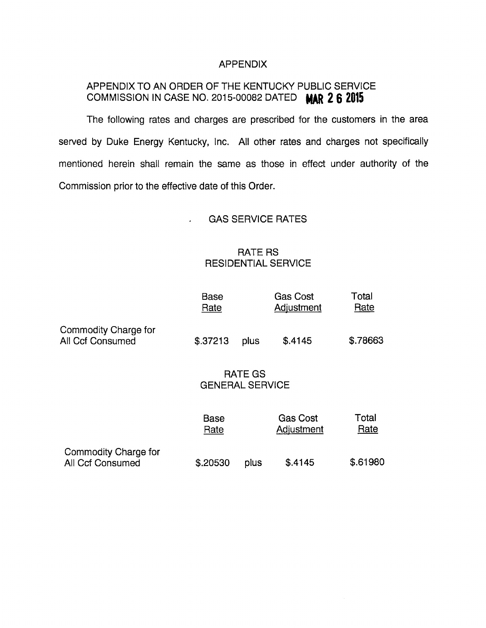## APPENDIX

# APPENDIX TO AN ORDER OF THE KENTUCKY PUBLIC SERVICE COMMISSION IN CASE NO. 2015-00082 DATED MAR 2 6 2015

The following rates and charges are prescribed for the customers in the area served by Duke Energy Kentucky, Inc. All other rates and charges not specifically mentioned herein shall remain the same as those in effect under authority of the Commission prior to the effective date of this Order.

## GAS SERVICE RATES

## RATE RS RESIDENTIAL SERVICE

|                                                        | <b>Base</b><br>Rate               |      | <b>Gas Cost</b><br>Adjustment | Total<br>Rate |
|--------------------------------------------------------|-----------------------------------|------|-------------------------------|---------------|
| Commodity Charge for<br>All Ccf Consumed               | \$.37213                          | plus | \$.4145                       | \$.78663      |
|                                                        | RATE GS<br><b>GENERAL SERVICE</b> |      |                               |               |
|                                                        | <b>Base</b><br>Rate               |      | <b>Gas Cost</b><br>Adjustment | Total<br>Rate |
| <b>Commodity Charge for</b><br><b>All Ccf Consumed</b> | \$.20530                          | plus | \$.4145                       | \$.61980      |

ú.